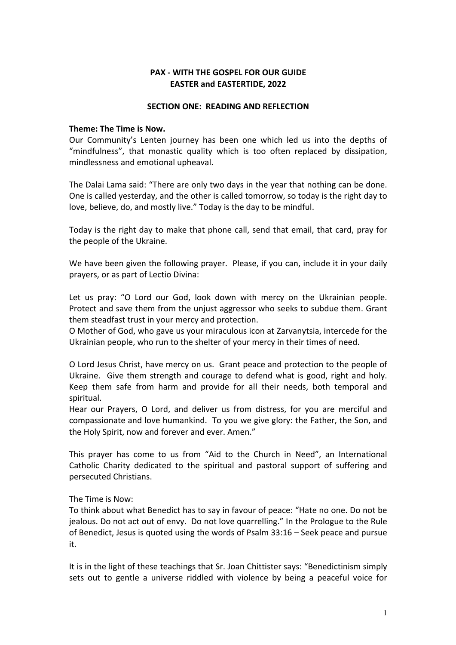## **PAX - WITH THE GOSPEL FOR OUR GUIDE EASTER and EASTERTIDE, 2022**

#### **SECTION ONE: READING AND REFLECTION**

#### **Theme: The Time is Now.**

Our Community's Lenten journey has been one which led us into the depths of "mindfulness", that monastic quality which is too often replaced by dissipation, mindlessness and emotional upheaval.

The Dalai Lama said: "There are only two days in the year that nothing can be done. One is called yesterday, and the other is called tomorrow, so today is the right day to love, believe, do, and mostly live." Today is the day to be mindful.

Today is the right day to make that phone call, send that email, that card, pray for the people of the Ukraine.

We have been given the following prayer. Please, if you can, include it in your daily prayers, or as part of Lectio Divina:

Let us pray: "O Lord our God, look down with mercy on the Ukrainian people. Protect and save them from the unjust aggressor who seeks to subdue them. Grant them steadfast trust in your mercy and protection.

O Mother of God, who gave us your miraculous icon at Zarvanytsia, intercede for the Ukrainian people, who run to the shelter of your mercy in their times of need.

O Lord Jesus Christ, have mercy on us. Grant peace and protection to the people of Ukraine. Give them strength and courage to defend what is good, right and holy. Keep them safe from harm and provide for all their needs, both temporal and spiritual.

Hear our Prayers, O Lord, and deliver us from distress, for you are merciful and compassionate and love humankind. To you we give glory: the Father, the Son, and the Holy Spirit, now and forever and ever. Amen."

This prayer has come to us from "Aid to the Church in Need", an International Catholic Charity dedicated to the spiritual and pastoral support of suffering and persecuted Christians.

### The Time is Now:

To think about what Benedict has to say in favour of peace: "Hate no one. Do not be jealous. Do not act out of envy. Do not love quarrelling." In the Prologue to the Rule of Benedict, Jesus is quoted using the words of Psalm 33:16 – Seek peace and pursue it.

It is in the light of these teachings that Sr. Joan Chittister says: "Benedictinism simply sets out to gentle a universe riddled with violence by being a peaceful voice for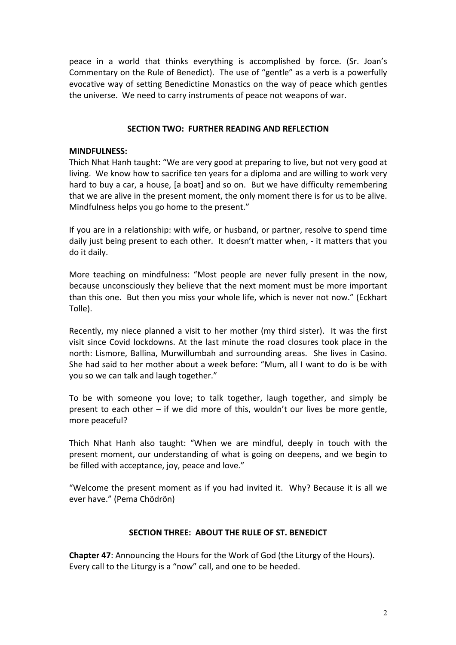peace in a world that thinks everything is accomplished by force. (Sr. Joan's Commentary on the Rule of Benedict). The use of "gentle" as a verb is a powerfully evocative way of setting Benedictine Monastics on the way of peace which gentles the universe. We need to carry instruments of peace not weapons of war.

#### **SECTION TWO: FURTHER READING AND REFLECTION**

#### **MINDFULNESS:**

Thich Nhat Hanh taught: "We are very good at preparing to live, but not very good at living. We know how to sacrifice ten years for a diploma and are willing to work very hard to buy a car, a house, [a boat] and so on. But we have difficulty remembering that we are alive in the present moment, the only moment there is for us to be alive. Mindfulness helps you go home to the present."

If you are in a relationship: with wife, or husband, or partner, resolve to spend time daily just being present to each other. It doesn't matter when, - it matters that you do it daily.

More teaching on mindfulness: "Most people are never fully present in the now, because unconsciously they believe that the next moment must be more important than this one. But then you miss your whole life, which is never not now." (Eckhart Tolle).

Recently, my niece planned a visit to her mother (my third sister). It was the first visit since Covid lockdowns. At the last minute the road closures took place in the north: Lismore, Ballina, Murwillumbah and surrounding areas. She lives in Casino. She had said to her mother about a week before: "Mum, all I want to do is be with you so we can talk and laugh together."

To be with someone you love; to talk together, laugh together, and simply be present to each other – if we did more of this, wouldn't our lives be more gentle, more peaceful?

Thich Nhat Hanh also taught: "When we are mindful, deeply in touch with the present moment, our understanding of what is going on deepens, and we begin to be filled with acceptance, joy, peace and love."

"Welcome the present moment as if you had invited it. Why? Because it is all we ever have." (Pema Chödrön)

### **SECTION THREE: ABOUT THE RULE OF ST. BENEDICT**

**Chapter 47**: Announcing the Hours for the Work of God (the Liturgy of the Hours). Every call to the Liturgy is a "now" call, and one to be heeded.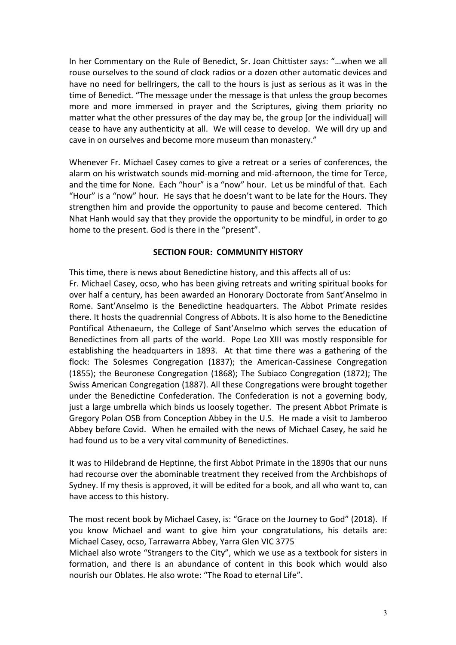In her Commentary on the Rule of Benedict, Sr. Joan Chittister says: "…when we all rouse ourselves to the sound of clock radios or a dozen other automatic devices and have no need for bellringers, the call to the hours is just as serious as it was in the time of Benedict. "The message under the message is that unless the group becomes more and more immersed in prayer and the Scriptures, giving them priority no matter what the other pressures of the day may be, the group [or the individual] will cease to have any authenticity at all. We will cease to develop. We will dry up and cave in on ourselves and become more museum than monastery."

Whenever Fr. Michael Casey comes to give a retreat or a series of conferences, the alarm on his wristwatch sounds mid-morning and mid-afternoon, the time for Terce, and the time for None. Each "hour" is a "now" hour. Let us be mindful of that. Each "Hour" is a "now" hour. He says that he doesn't want to be late for the Hours. They strengthen him and provide the opportunity to pause and become centered. Thich Nhat Hanh would say that they provide the opportunity to be mindful, in order to go home to the present. God is there in the "present".

### **SECTION FOUR: COMMUNITY HISTORY**

This time, there is news about Benedictine history, and this affects all of us: Fr. Michael Casey, ocso, who has been giving retreats and writing spiritual books for over half a century, has been awarded an Honorary Doctorate from Sant'Anselmo in Rome. Sant'Anselmo is the Benedictine headquarters. The Abbot Primate resides there. It hosts the quadrennial Congress of Abbots. It is also home to the Benedictine Pontifical Athenaeum, the College of Sant'Anselmo which serves the education of Benedictines from all parts of the world. Pope Leo XIII was mostly responsible for establishing the headquarters in 1893. At that time there was a gathering of the flock: The Solesmes Congregation (1837); the American-Cassinese Congregation (1855); the Beuronese Congregation (1868); The Subiaco Congregation (1872); The Swiss American Congregation (1887). All these Congregations were brought together under the Benedictine Confederation. The Confederation is not a governing body, just a large umbrella which binds us loosely together. The present Abbot Primate is Gregory Polan OSB from Conception Abbey in the U.S. He made a visit to Jamberoo Abbey before Covid. When he emailed with the news of Michael Casey, he said he had found us to be a very vital community of Benedictines.

It was to Hildebrand de Heptinne, the first Abbot Primate in the 1890s that our nuns had recourse over the abominable treatment they received from the Archbishops of Sydney. If my thesis is approved, it will be edited for a book, and all who want to, can have access to this history.

The most recent book by Michael Casey, is: "Grace on the Journey to God" (2018). If you know Michael and want to give him your congratulations, his details are: Michael Casey, ocso, Tarrawarra Abbey, Yarra Glen VIC 3775

Michael also wrote "Strangers to the City", which we use as a textbook for sisters in formation, and there is an abundance of content in this book which would also nourish our Oblates. He also wrote: "The Road to eternal Life".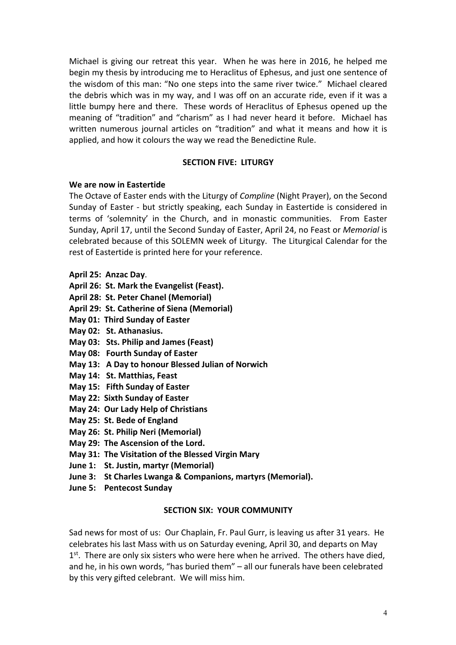Michael is giving our retreat this year. When he was here in 2016, he helped me begin my thesis by introducing me to Heraclitus of Ephesus, and just one sentence of the wisdom of this man: "No one steps into the same river twice." Michael cleared the debris which was in my way, and I was off on an accurate ride, even if it was a little bumpy here and there. These words of Heraclitus of Ephesus opened up the meaning of "tradition" and "charism" as I had never heard it before. Michael has written numerous journal articles on "tradition" and what it means and how it is applied, and how it colours the way we read the Benedictine Rule.

### **SECTION FIVE: LITURGY**

### **We are now in Eastertide**

The Octave of Easter ends with the Liturgy of *Compline* (Night Prayer), on the Second Sunday of Easter - but strictly speaking, each Sunday in Eastertide is considered in terms of 'solemnity' in the Church, and in monastic communities. From Easter Sunday, April 17, until the Second Sunday of Easter, April 24, no Feast or *Memorial* is celebrated because of this SOLEMN week of Liturgy. The Liturgical Calendar for the rest of Eastertide is printed here for your reference.

- **April 25: Anzac Day**.
- **April 26: St. Mark the Evangelist (Feast).**
- **April 28: St. Peter Chanel (Memorial)**
- **April 29: St. Catherine of Siena (Memorial)**
- **May 01: Third Sunday of Easter**
- **May 02: St. Athanasius.**
- **May 03: Sts. Philip and James (Feast)**
- **May 08: Fourth Sunday of Easter**
- **May 13: A Day to honour Blessed Julian of Norwich**
- **May 14: St. Matthias, Feast**
- **May 15: Fifth Sunday of Easter**
- **May 22: Sixth Sunday of Easter**
- **May 24: Our Lady Help of Christians**
- **May 25: St. Bede of England**
- **May 26: St. Philip Neri (Memorial)**
- **May 29: The Ascension of the Lord.**
- **May 31: The Visitation of the Blessed Virgin Mary**
- **June 1: St. Justin, martyr (Memorial)**
- **June 3: St Charles Lwanga & Companions, martyrs (Memorial).**
- **June 5: Pentecost Sunday**

### **SECTION SIX: YOUR COMMUNITY**

Sad news for most of us: Our Chaplain, Fr. Paul Gurr, is leaving us after 31 years. He celebrates his last Mass with us on Saturday evening, April 30, and departs on May  $1<sup>st</sup>$ . There are only six sisters who were here when he arrived. The others have died, and he, in his own words, "has buried them" – all our funerals have been celebrated by this very gifted celebrant. We will miss him.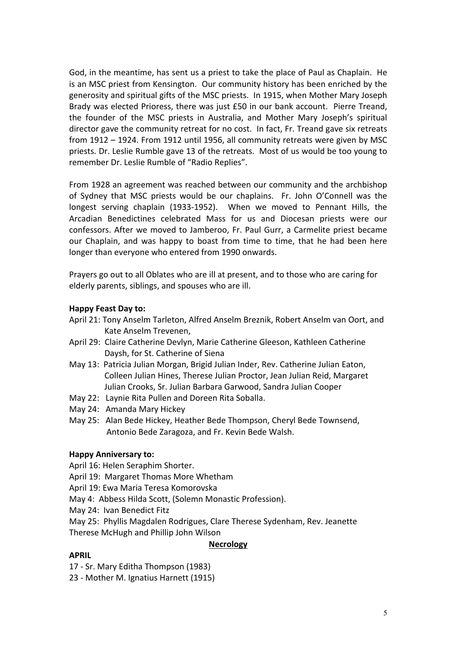God, in the meantime, has sent us a priest to take the place of Paul as Chaplain. He is an MSC priest from Kensington. Our community history has been enriched by the generosity and spiritual gifts of the MSC priests. In 1915, when Mother Mary Joseph Brady was elected Prioress, there was just £50 in our bank account. Pierre Treand, the founder of the MSC priests in Australia, and Mother Mary Joseph's spiritual director gave the community retreat for no cost. In fact, Fr. Treand gave six retreats from 1912 – 1924. From 1912 until 1956, all community retreats were given by MSC priests. Dr. Leslie Rumble gave 13 of the retreats. Most of us would be too young to remember Dr. Leslie Rumble of "Radio Replies".

From 1928 an agreement was reached between our community and the archbishop of Sydney that MSC priests would be our chaplains. Fr. John O'Connell was the longest serving chaplain (1933-1952). When we moved to Pennant Hills, the Arcadian Benedictines celebrated Mass for us and Diocesan priests were our confessors. After we moved to Jamberoo, Fr. Paul Gurr, a Carmelite priest became our Chaplain, and was happy to boast from time to time, that he had been here longer than everyone who entered from 1990 onwards.

Prayers go out to all Oblates who are ill at present, and to those who are caring for elderly parents, siblings, and spouses who are ill.

## **Happy Feast Day to:**

- April 21: Tony Anselm Tarleton, Alfred Anselm Breznik, Robert Anselm van Oort, and Kate Anselm Trevenen,
- April 29: Claire Catherine Devlyn, Marie Catherine Gleeson, Kathleen Catherine Daysh, for St. Catherine of Siena
- May 13: Patricia Julian Morgan, Brigid Julian Inder, Rev. Catherine Julian Eaton, Colleen Julian Hines, Therese Julian Proctor, Jean Julian Reid, Margaret Julian Crooks, Sr. Julian Barbara Garwood, Sandra Julian Cooper
- May 22: Laynie Rita Pullen and Doreen Rita Soballa.
- May 24: Amanda Mary Hickey
- May 25: Alan Bede Hickey, Heather Bede Thompson, Cheryl Bede Townsend, Antonio Bede Zaragoza, and Fr. Kevin Bede Walsh.

### **Happy Anniversary to:**

April 16: Helen Seraphim Shorter.

- April 19: Margaret Thomas More Whetham
- April 19: Ewa Maria Teresa Komorovska
- May 4: Abbess Hilda Scott, (Solemn Monastic Profession).
- May 24: Ivan Benedict Fitz
- May 25: Phyllis Magdalen Rodrigues, Clare Therese Sydenham, Rev. Jeanette Therese McHugh and Phillip John Wilson

### **Necrology**

### **APRIL**

- 17 Sr. Mary Editha Thompson (1983)
- 23 Mother M. Ignatius Harnett (1915)